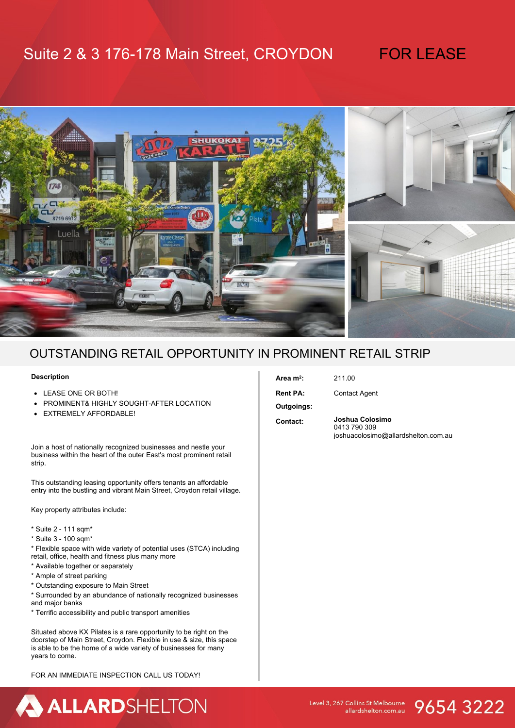## Suite 2 & 3 176-178 Main Street, CROYDON FOR LEASE



### OUTSTANDING RETAIL OPPORTUNITY IN PROMINENT RETAIL STRIP

#### **Description**

- LEASE ONE OR BOTH!
- **PROMINENT& HIGHLY SOUGHT-AFTER LOCATION**
- **EXTREMELY AFFORDABLE!**

Join a host of nationally recognized businesses and nestle your business within the heart of the outer East's most prominent retail strip.

This outstanding leasing opportunity offers tenants an affordable entry into the bustling and vibrant Main Street, Croydon retail village.

Key property attributes include:

- \* Suite 2 111 sqm\*
- \* Suite 3 100 sqm\*
- \* Flexible space with wide variety of potential uses (STCA) including retail, office, health and fitness plus many more
- \* Available together or separately
- \* Ample of street parking
- \* Outstanding exposure to Main Street
- \* Surrounded by an abundance of nationally recognized businesses and major banks
- \* Terrific accessibility and public transport amenities

Situated above KX Pilates is a rare opportunity to be right on the doorstep of Main Street, Croydon. Flexible in use & size, this space is able to be the home of a wide variety of businesses for many years to come.

FOR AN IMMEDIATE INSPECTION CALL US TODAY!

### **Area m<sup>2</sup>**

**Rent PA:** Contact Agent

**:** 211.00

**Outgoings:**

**Contact: Joshua Colosimo**  0413 790 309 joshuacolosimo@allardshelton.com.au